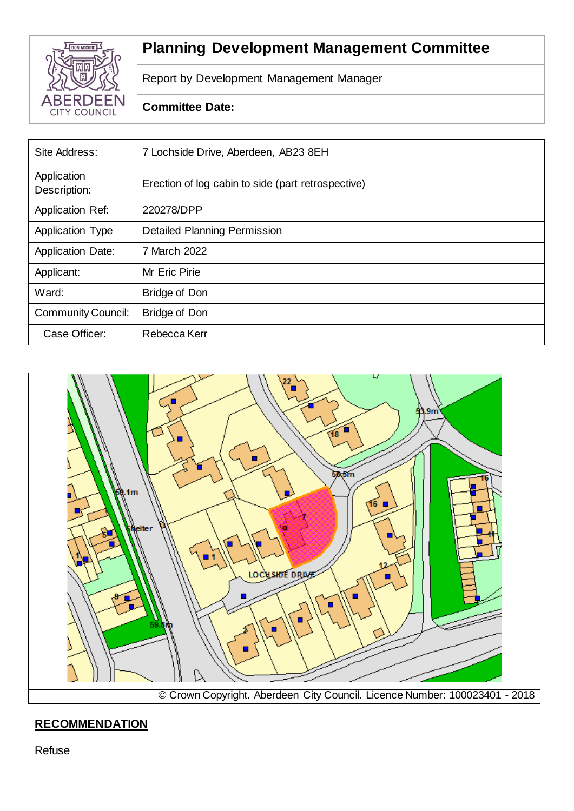

# **Planning Development Management Committee**

Report by Development Management Manager

## **Committee Date:**

| Site Address:               | 7 Lochside Drive, Aberdeen, AB23 8EH               |
|-----------------------------|----------------------------------------------------|
| Application<br>Description: | Erection of log cabin to side (part retrospective) |
| <b>Application Ref:</b>     | 220278/DPP                                         |
| <b>Application Type</b>     | <b>Detailed Planning Permission</b>                |
| <b>Application Date:</b>    | 7 March 2022                                       |
| Applicant:                  | Mr Eric Pirie                                      |
| Ward:                       | <b>Bridge of Don</b>                               |
| <b>Community Council:</b>   | <b>Bridge of Don</b>                               |
| Case Officer:               | Rebecca Kerr                                       |



# **RECOMMENDATION**

Refuse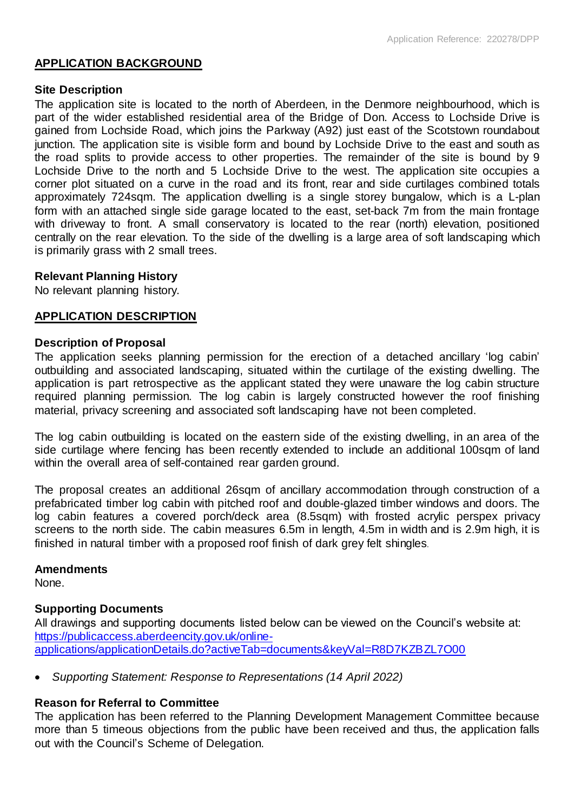## **APPLICATION BACKGROUND**

## **Site Description**

The application site is located to the north of Aberdeen, in the Denmore neighbourhood, which is part of the wider established residential area of the Bridge of Don. Access to Lochside Drive is gained from Lochside Road, which joins the Parkway (A92) just east of the Scotstown roundabout junction. The application site is visible form and bound by Lochside Drive to the east and south as the road splits to provide access to other properties. The remainder of the site is bound by 9 Lochside Drive to the north and 5 Lochside Drive to the west. The application site occupies a corner plot situated on a curve in the road and its front, rear and side curtilages combined totals approximately 724sqm. The application dwelling is a single storey bungalow, which is a L-plan form with an attached single side garage located to the east, set-back 7m from the main frontage with driveway to front. A small conservatory is located to the rear (north) elevation, positioned centrally on the rear elevation. To the side of the dwelling is a large area of soft landscaping which is primarily grass with 2 small trees.

## **Relevant Planning History**

No relevant planning history.

## **APPLICATION DESCRIPTION**

#### **Description of Proposal**

The application seeks planning permission for the erection of a detached ancillary 'log cabin' outbuilding and associated landscaping, situated within the curtilage of the existing dwelling. The application is part retrospective as the applicant stated they were unaware the log cabin structure required planning permission. The log cabin is largely constructed however the roof finishing material, privacy screening and associated soft landscaping have not been completed.

The log cabin outbuilding is located on the eastern side of the existing dwelling, in an area of the side curtilage where fencing has been recently extended to include an additional 100sqm of land within the overall area of self-contained rear garden ground.

The proposal creates an additional 26sqm of ancillary accommodation through construction of a prefabricated timber log cabin with pitched roof and double-glazed timber windows and doors. The log cabin features a covered porch/deck area (8.5sqm) with frosted acrylic perspex privacy screens to the north side. The cabin measures 6.5m in length, 4.5m in width and is 2.9m high, it is finished in natural timber with a proposed roof finish of dark grey felt shingles.

#### **Amendments**

None.

## **Supporting Documents**

All drawings and supporting documents listed below can be viewed on the Council's website at: [https://publicaccess.aberdeencity.gov.uk/online](https://publicaccess.aberdeencity.gov.uk/online-applications/applicationDetails.do?activeTab=documents&keyVal=R8D7KZBZL7O00)[applications/applicationDetails.do?activeTab=documents&keyVal=R8D7KZBZL7O00](https://publicaccess.aberdeencity.gov.uk/online-applications/applicationDetails.do?activeTab=documents&keyVal=R8D7KZBZL7O00)

*Supporting Statement: Response to Representations (14 April 2022)*

## **Reason for Referral to Committee**

The application has been referred to the Planning Development Management Committee because more than 5 timeous objections from the public have been received and thus, the application falls out with the Council's Scheme of Delegation.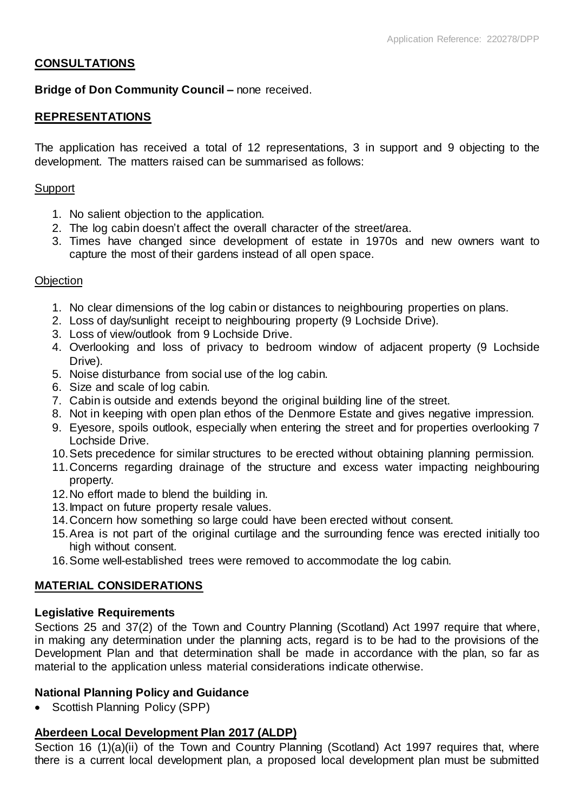## **CONSULTATIONS**

## **Bridge of Don Community Council –** none received.

## **REPRESENTATIONS**

The application has received a total of 12 representations, 3 in support and 9 objecting to the development. The matters raised can be summarised as follows:

#### Support

- 1. No salient objection to the application.
- 2. The log cabin doesn't affect the overall character of the street/area.
- 3. Times have changed since development of estate in 1970s and new owners want to capture the most of their gardens instead of all open space.

#### **Objection**

- 1. No clear dimensions of the log cabin or distances to neighbouring properties on plans.
- 2. Loss of day/sunlight receipt to neighbouring property (9 Lochside Drive).
- 3. Loss of view/outlook from 9 Lochside Drive.
- 4. Overlooking and loss of privacy to bedroom window of adjacent property (9 Lochside Drive).
- 5. Noise disturbance from social use of the log cabin.
- 6. Size and scale of log cabin.
- 7. Cabin is outside and extends beyond the original building line of the street.
- 8. Not in keeping with open plan ethos of the Denmore Estate and gives negative impression.
- 9. Eyesore, spoils outlook, especially when entering the street and for properties overlooking 7 Lochside Drive.
- 10.Sets precedence for similar structures to be erected without obtaining planning permission.
- 11.Concerns regarding drainage of the structure and excess water impacting neighbouring property.
- 12.No effort made to blend the building in.
- 13.Impact on future property resale values.
- 14.Concern how something so large could have been erected without consent.
- 15.Area is not part of the original curtilage and the surrounding fence was erected initially too high without consent.
- 16.Some well-established trees were removed to accommodate the log cabin.

## **MATERIAL CONSIDERATIONS**

#### **Legislative Requirements**

Sections 25 and 37(2) of the Town and Country Planning (Scotland) Act 1997 require that where, in making any determination under the planning acts, regard is to be had to the provisions of the Development Plan and that determination shall be made in accordance with the plan, so far as material to the application unless material considerations indicate otherwise.

## **National Planning Policy and Guidance**

• Scottish Planning Policy (SPP)

## **Aberdeen Local Development Plan 2017 (ALDP)**

Section 16 (1)(a)(ii) of the Town and Country Planning (Scotland) Act 1997 requires that, where there is a current local development plan, a proposed local development plan must be submitted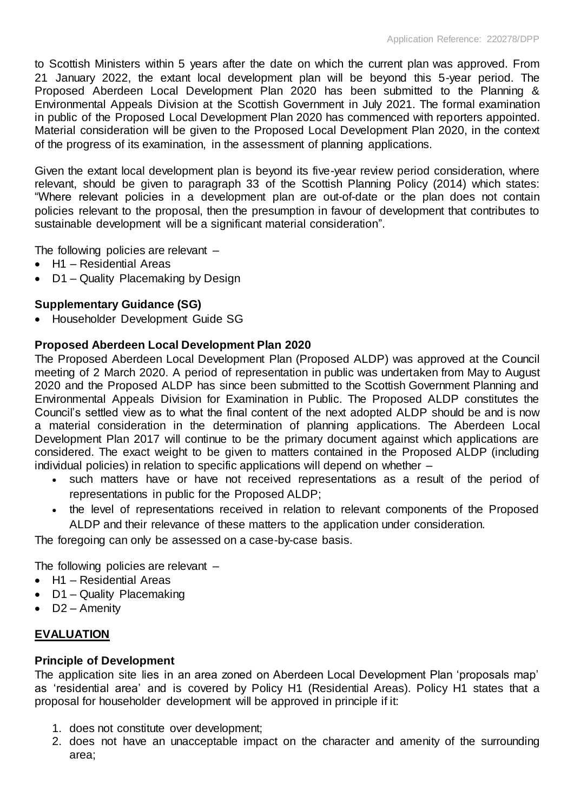to Scottish Ministers within 5 years after the date on which the current plan was approved. From 21 January 2022, the extant local development plan will be beyond this 5-year period. The Proposed Aberdeen Local Development Plan 2020 has been submitted to the Planning & Environmental Appeals Division at the Scottish Government in July 2021. The formal examination in public of the Proposed Local Development Plan 2020 has commenced with reporters appointed. Material consideration will be given to the Proposed Local Development Plan 2020, in the context of the progress of its examination, in the assessment of planning applications.

Given the extant local development plan is beyond its five-year review period consideration, where relevant, should be given to paragraph 33 of the Scottish Planning Policy (2014) which states: "Where relevant policies in a development plan are out-of-date or the plan does not contain policies relevant to the proposal, then the presumption in favour of development that contributes to sustainable development will be a significant material consideration".

The following policies are relevant –

- H1 Residential Areas
- D1 Quality Placemaking by Design

## **Supplementary Guidance (SG)**

Householder Development Guide SG

## **Proposed Aberdeen Local Development Plan 2020**

The Proposed Aberdeen Local Development Plan (Proposed ALDP) was approved at the Council meeting of 2 March 2020. A period of representation in public was undertaken from May to August 2020 and the Proposed ALDP has since been submitted to the Scottish Government Planning and Environmental Appeals Division for Examination in Public. The Proposed ALDP constitutes the Council's settled view as to what the final content of the next adopted ALDP should be and is now a material consideration in the determination of planning applications. The Aberdeen Local Development Plan 2017 will continue to be the primary document against which applications are considered. The exact weight to be given to matters contained in the Proposed ALDP (including individual policies) in relation to specific applications will depend on whether –

- such matters have or have not received representations as a result of the period of representations in public for the Proposed ALDP;
- the level of representations received in relation to relevant components of the Proposed ALDP and their relevance of these matters to the application under consideration.

The foregoing can only be assessed on a case-by-case basis.

The following policies are relevant –

- H1 Residential Areas
- D1 Quality Placemaking
- D2 Amenity

## **EVALUATION**

## **Principle of Development**

The application site lies in an area zoned on Aberdeen Local Development Plan 'proposals map' as 'residential area' and is covered by Policy H1 (Residential Areas). Policy H1 states that a proposal for householder development will be approved in principle if it:

- 1. does not constitute over development;
- 2. does not have an unacceptable impact on the character and amenity of the surrounding area;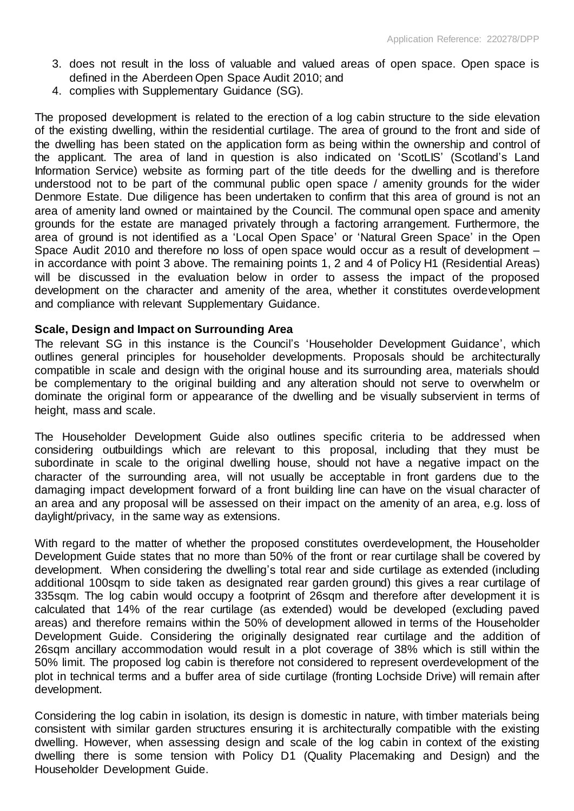- 3. does not result in the loss of valuable and valued areas of open space. Open space is defined in the Aberdeen Open Space Audit 2010; and
- 4. complies with Supplementary Guidance (SG).

The proposed development is related to the erection of a log cabin structure to the side elevation of the existing dwelling, within the residential curtilage. The area of ground to the front and side of the dwelling has been stated on the application form as being within the ownership and control of the applicant. The area of land in question is also indicated on 'ScotLIS' (Scotland's Land Information Service) website as forming part of the title deeds for the dwelling and is therefore understood not to be part of the communal public open space / amenity grounds for the wider Denmore Estate. Due diligence has been undertaken to confirm that this area of ground is not an area of amenity land owned or maintained by the Council. The communal open space and amenity grounds for the estate are managed privately through a factoring arrangement. Furthermore, the area of ground is not identified as a 'Local Open Space' or 'Natural Green Space' in the Open Space Audit 2010 and therefore no loss of open space would occur as a result of development – in accordance with point 3 above. The remaining points 1, 2 and 4 of Policy H1 (Residential Areas) will be discussed in the evaluation below in order to assess the impact of the proposed development on the character and amenity of the area, whether it constitutes overdevelopment and compliance with relevant Supplementary Guidance.

#### **Scale, Design and Impact on Surrounding Area**

The relevant SG in this instance is the Council's 'Householder Development Guidance', which outlines general principles for householder developments. Proposals should be architecturally compatible in scale and design with the original house and its surrounding area, materials should be complementary to the original building and any alteration should not serve to overwhelm or dominate the original form or appearance of the dwelling and be visually subservient in terms of height, mass and scale.

The Householder Development Guide also outlines specific criteria to be addressed when considering outbuildings which are relevant to this proposal, including that they must be subordinate in scale to the original dwelling house, should not have a negative impact on the character of the surrounding area, will not usually be acceptable in front gardens due to the damaging impact development forward of a front building line can have on the visual character of an area and any proposal will be assessed on their impact on the amenity of an area, e.g. loss of daylight/privacy, in the same way as extensions.

With regard to the matter of whether the proposed constitutes overdevelopment, the Householder Development Guide states that no more than 50% of the front or rear curtilage shall be covered by development. When considering the dwelling's total rear and side curtilage as extended (including additional 100sqm to side taken as designated rear garden ground) this gives a rear curtilage of 335sqm. The log cabin would occupy a footprint of 26sqm and therefore after development it is calculated that 14% of the rear curtilage (as extended) would be developed (excluding paved areas) and therefore remains within the 50% of development allowed in terms of the Householder Development Guide. Considering the originally designated rear curtilage and the addition of 26sqm ancillary accommodation would result in a plot coverage of 38% which is still within the 50% limit. The proposed log cabin is therefore not considered to represent overdevelopment of the plot in technical terms and a buffer area of side curtilage (fronting Lochside Drive) will remain after development.

Considering the log cabin in isolation, its design is domestic in nature, with timber materials being consistent with similar garden structures ensuring it is architecturally compatible with the existing dwelling. However, when assessing design and scale of the log cabin in context of the existing dwelling there is some tension with Policy D1 (Quality Placemaking and Design) and the Householder Development Guide.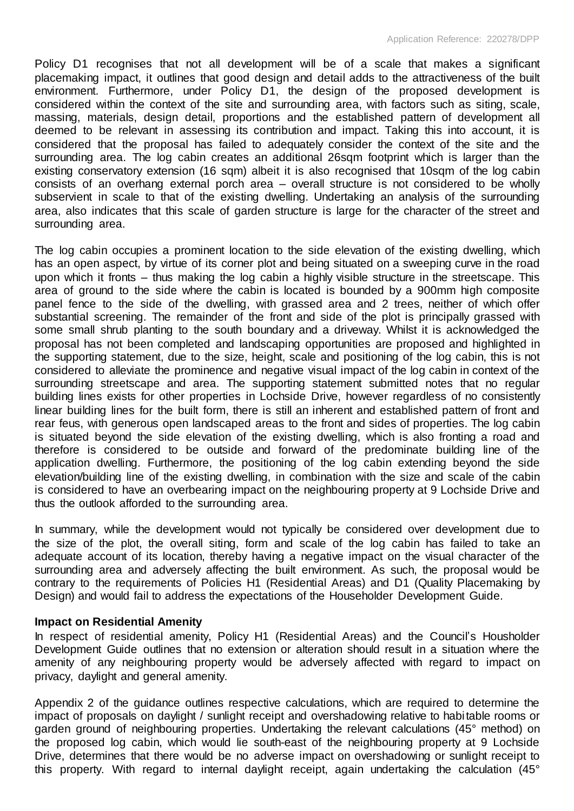Policy D1 recognises that not all development will be of a scale that makes a significant placemaking impact, it outlines that good design and detail adds to the attractiveness of the built environment. Furthermore, under Policy D1, the design of the proposed development is considered within the context of the site and surrounding area, with factors such as siting, scale, massing, materials, design detail, proportions and the established pattern of development all deemed to be relevant in assessing its contribution and impact. Taking this into account, it is considered that the proposal has failed to adequately consider the context of the site and the surrounding area. The log cabin creates an additional 26sqm footprint which is larger than the existing conservatory extension (16 sqm) albeit it is also recognised that 10sqm of the log cabin consists of an overhang external porch area – overall structure is not considered to be wholly subservient in scale to that of the existing dwelling. Undertaking an analysis of the surrounding area, also indicates that this scale of garden structure is large for the character of the street and surrounding area.

The log cabin occupies a prominent location to the side elevation of the existing dwelling, which has an open aspect, by virtue of its corner plot and being situated on a sweeping curve in the road upon which it fronts – thus making the log cabin a highly visible structure in the streetscape. This area of ground to the side where the cabin is located is bounded by a 900mm high composite panel fence to the side of the dwelling, with grassed area and 2 trees, neither of which offer substantial screening. The remainder of the front and side of the plot is principally grassed with some small shrub planting to the south boundary and a driveway. Whilst it is acknowledged the proposal has not been completed and landscaping opportunities are proposed and highlighted in the supporting statement, due to the size, height, scale and positioning of the log cabin, this is not considered to alleviate the prominence and negative visual impact of the log cabin in context of the surrounding streetscape and area. The supporting statement submitted notes that no regular building lines exists for other properties in Lochside Drive, however regardless of no consistently linear building lines for the built form, there is still an inherent and established pattern of front and rear feus, with generous open landscaped areas to the front and sides of properties. The log cabin is situated beyond the side elevation of the existing dwelling, which is also fronting a road and therefore is considered to be outside and forward of the predominate building line of the application dwelling. Furthermore, the positioning of the log cabin extending beyond the side elevation/building line of the existing dwelling, in combination with the size and scale of the cabin is considered to have an overbearing impact on the neighbouring property at 9 Lochside Drive and thus the outlook afforded to the surrounding area.

In summary, while the development would not typically be considered over development due to the size of the plot, the overall siting, form and scale of the log cabin has failed to take an adequate account of its location, thereby having a negative impact on the visual character of the surrounding area and adversely affecting the built environment. As such, the proposal would be contrary to the requirements of Policies H1 (Residential Areas) and D1 (Quality Placemaking by Design) and would fail to address the expectations of the Householder Development Guide.

## **Impact on Residential Amenity**

In respect of residential amenity, Policy H1 (Residential Areas) and the Council's Housholder Development Guide outlines that no extension or alteration should result in a situation where the amenity of any neighbouring property would be adversely affected with regard to impact on privacy, daylight and general amenity.

Appendix 2 of the guidance outlines respective calculations, which are required to determine the impact of proposals on daylight / sunlight receipt and overshadowing relative to habitable rooms or garden ground of neighbouring properties. Undertaking the relevant calculations (45° method) on the proposed log cabin, which would lie south-east of the neighbouring property at 9 Lochside Drive, determines that there would be no adverse impact on overshadowing or sunlight receipt to this property. With regard to internal daylight receipt, again undertaking the calculation (45°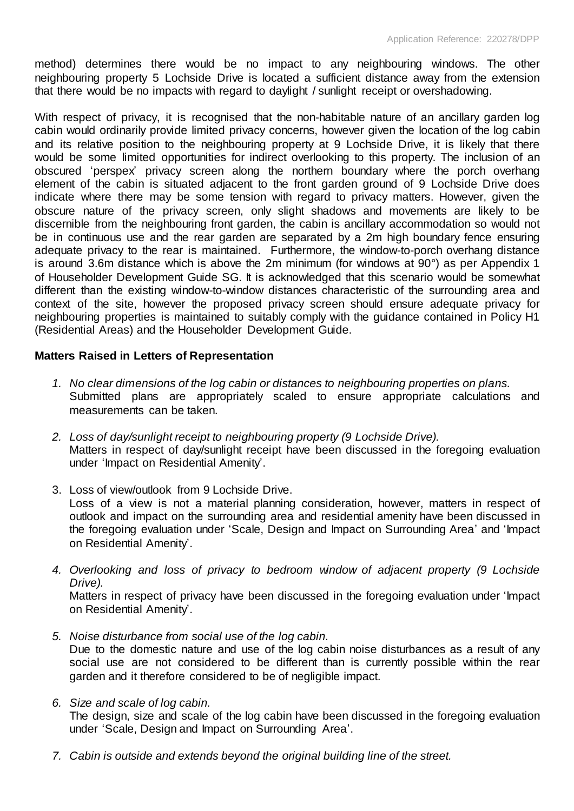method) determines there would be no impact to any neighbouring windows. The other neighbouring property 5 Lochside Drive is located a sufficient distance away from the extension that there would be no impacts with regard to daylight / sunlight receipt or overshadowing.

With respect of privacy, it is recognised that the non-habitable nature of an ancillary garden log cabin would ordinarily provide limited privacy concerns, however given the location of the log cabin and its relative position to the neighbouring property at 9 Lochside Drive, it is likely that there would be some limited opportunities for indirect overlooking to this property. The inclusion of an obscured 'perspex' privacy screen along the northern boundary where the porch overhang element of the cabin is situated adjacent to the front garden ground of 9 Lochside Drive does indicate where there may be some tension with regard to privacy matters. However, given the obscure nature of the privacy screen, only slight shadows and movements are likely to be discernible from the neighbouring front garden, the cabin is ancillary accommodation so would not be in continuous use and the rear garden are separated by a 2m high boundary fence ensuring adequate privacy to the rear is maintained. Furthermore, the window-to-porch overhang distance is around 3.6m distance which is above the 2m minimum (for windows at 90°) as per Appendix 1 of Householder Development Guide SG. It is acknowledged that this scenario would be somewhat different than the existing window-to-window distances characteristic of the surrounding area and context of the site, however the proposed privacy screen should ensure adequate privacy for neighbouring properties is maintained to suitably comply with the guidance contained in Policy H1 (Residential Areas) and the Householder Development Guide.

## **Matters Raised in Letters of Representation**

- *1. No clear dimensions of the log cabin or distances to neighbouring properties on plans.*  Submitted plans are appropriately scaled to ensure appropriate calculations and measurements can be taken.
- *2. Loss of day/sunlight receipt to neighbouring property (9 Lochside Drive).* Matters in respect of day/sunlight receipt have been discussed in the foregoing evaluation under 'Impact on Residential Amenity'.
- 3. Loss of view/outlook from 9 Lochside Drive. Loss of a view is not a material planning consideration, however, matters in respect of outlook and impact on the surrounding area and residential amenity have been discussed in the foregoing evaluation under 'Scale, Design and Impact on Surrounding Area' and 'Impact on Residential Amenity'.
- *4. Overlooking and loss of privacy to bedroom window of adjacent property (9 Lochside Drive).*

Matters in respect of privacy have been discussed in the foregoing evaluation under 'Impact on Residential Amenity'.

- *5. Noise disturbance from social use of the log cabin.*  Due to the domestic nature and use of the log cabin noise disturbances as a result of any social use are not considered to be different than is currently possible within the rear garden and it therefore considered to be of negligible impact.
- *6. Size and scale of log cabin.*

The design, size and scale of the log cabin have been discussed in the foregoing evaluation under 'Scale, Design and Impact on Surrounding Area'.

*7. Cabin is outside and extends beyond the original building line of the street.*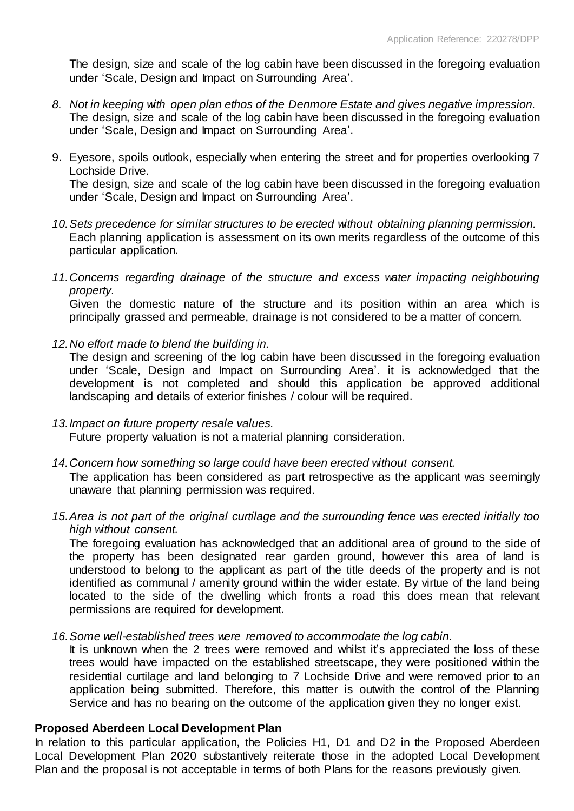The design, size and scale of the log cabin have been discussed in the foregoing evaluation under 'Scale, Design and Impact on Surrounding Area'.

- *8. Not in keeping with open plan ethos of the Denmore Estate and gives negative impression.* The design, size and scale of the log cabin have been discussed in the foregoing evaluation under 'Scale, Design and Impact on Surrounding Area'.
- 9. Eyesore, spoils outlook, especially when entering the street and for properties overlooking 7 Lochside Drive. The design, size and scale of the log cabin have been discussed in the foregoing evaluation under 'Scale, Design and Impact on Surrounding Area'.
- *10.Sets precedence for similar structures to be erected without obtaining planning permission.* Each planning application is assessment on its own merits regardless of the outcome of this particular application.
- *11.Concerns regarding drainage of the structure and excess water impacting neighbouring property.*

Given the domestic nature of the structure and its position within an area which is principally grassed and permeable, drainage is not considered to be a matter of concern.

*12.No effort made to blend the building in.*

The design and screening of the log cabin have been discussed in the foregoing evaluation under 'Scale, Design and Impact on Surrounding Area'. it is acknowledged that the development is not completed and should this application be approved additional landscaping and details of exterior finishes / colour will be required.

- *13.Impact on future property resale values.*  Future property valuation is not a material planning consideration.
- *14.Concern how something so large could have been erected without consent.*

The application has been considered as part retrospective as the applicant was seemingly unaware that planning permission was required.

*15.Area is not part of the original curtilage and the surrounding fence was erected initially too high without consent.* 

The foregoing evaluation has acknowledged that an additional area of ground to the side of the property has been designated rear garden ground, however this area of land is understood to belong to the applicant as part of the title deeds of the property and is not identified as communal / amenity ground within the wider estate. By virtue of the land being located to the side of the dwelling which fronts a road this does mean that relevant permissions are required for development.

*16.Some well-established trees were removed to accommodate the log cabin.* 

It is unknown when the 2 trees were removed and whilst it's appreciated the loss of these trees would have impacted on the established streetscape, they were positioned within the residential curtilage and land belonging to 7 Lochside Drive and were removed prior to an application being submitted. Therefore, this matter is outwith the control of the Planning Service and has no bearing on the outcome of the application given they no longer exist.

## **Proposed Aberdeen Local Development Plan**

In relation to this particular application, the Policies H1, D1 and D2 in the Proposed Aberdeen Local Development Plan 2020 substantively reiterate those in the adopted Local Development Plan and the proposal is not acceptable in terms of both Plans for the reasons previously given.